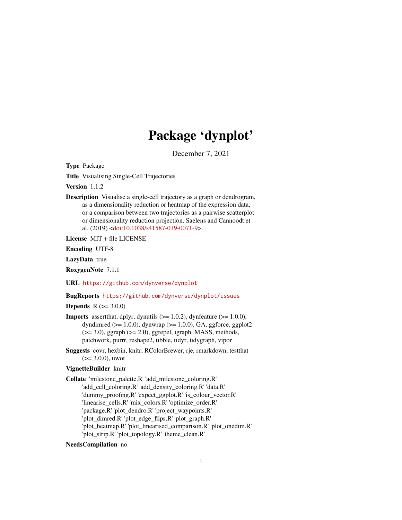# Package 'dynplot'

December 7, 2021

<span id="page-0-0"></span>Type Package

Title Visualising Single-Cell Trajectories

Version 1.1.2

Description Visualise a single-cell trajectory as a graph or dendrogram, as a dimensionality reduction or heatmap of the expression data, or a comparison between two trajectories as a pairwise scatterplot or dimensionality reduction projection. Saelens and Cannoodt et al. (2019) [<doi:10.1038/s41587-019-0071-9>](https://doi.org/10.1038/s41587-019-0071-9).

License MIT + file LICENSE

Encoding UTF-8

LazyData true

RoxygenNote 7.1.1

URL <https://github.com/dynverse/dynplot>

#### BugReports <https://github.com/dynverse/dynplot/issues>

**Depends**  $R (= 3.0.0)$ 

- **Imports** assert that, dplyr, dynutils  $(>= 1.0.2)$ , dynfeature  $(>= 1.0.0)$ , dyndimred  $(>= 1.0.0)$ , dynwrap  $(>= 1.0.0)$ , GA, ggforce, ggplot2  $(>= 3.0)$ , ggraph  $(>= 2.0)$ , ggrepel, igraph, MASS, methods, patchwork, purrr, reshape2, tibble, tidyr, tidygraph, vipor
- Suggests covr, hexbin, knitr, RColorBrewer, rje, rmarkdown, testthat  $(>= 3.0.0)$ , uwot

# VignetteBuilder knitr

Collate 'milestone\_palette.R' 'add\_milestone\_coloring.R' 'add\_cell\_coloring.R' 'add\_density\_coloring.R' 'data.R' 'dummy\_proofing.R' 'expect\_ggplot.R' 'is\_colour\_vector.R' 'linearise\_cells.R' 'mix\_colors.R' 'optimize\_order.R' 'package.R' 'plot\_dendro.R' 'project\_waypoints.R' 'plot\_dimred.R' 'plot\_edge\_flips.R' 'plot\_graph.R' 'plot\_heatmap.R' 'plot\_linearised\_comparison.R' 'plot\_onedim.R' 'plot\_strip.R' 'plot\_topology.R' 'theme\_clean.R'

#### NeedsCompilation no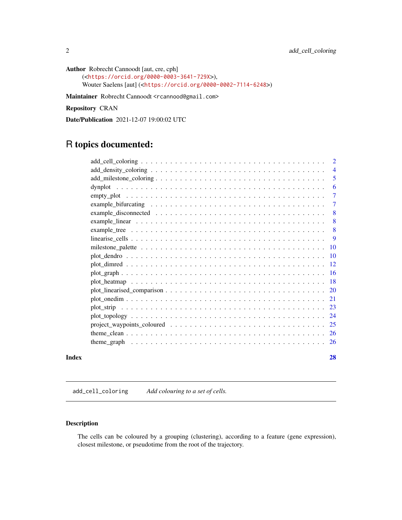```
Author Robrecht Cannoodt [aut, cre, cph]
     (<https://orcid.org/0000-0003-3641-729X>),
     Wouter Saelens [aut] (<https://orcid.org/0000-0002-7114-6248>)
```
Maintainer Robrecht Cannoodt <rcannood@gmail.com>

Repository CRAN

Date/Publication 2021-12-07 19:00:02 UTC

# R topics documented:

|       |                                                                                                                   | $\overline{4}$  |
|-------|-------------------------------------------------------------------------------------------------------------------|-----------------|
|       |                                                                                                                   | 5               |
|       |                                                                                                                   | 6               |
|       |                                                                                                                   | $\overline{7}$  |
|       |                                                                                                                   | $\tau$          |
|       | example_disconnected $\ldots \ldots \ldots \ldots \ldots \ldots \ldots \ldots \ldots \ldots \ldots \ldots \ldots$ | 8               |
|       |                                                                                                                   | 8               |
|       |                                                                                                                   | 8               |
|       |                                                                                                                   | 9               |
|       |                                                                                                                   | $\overline{10}$ |
|       |                                                                                                                   | $\overline{10}$ |
|       |                                                                                                                   | -12             |
|       |                                                                                                                   |                 |
|       |                                                                                                                   |                 |
|       |                                                                                                                   |                 |
|       |                                                                                                                   |                 |
|       |                                                                                                                   |                 |
|       |                                                                                                                   |                 |
|       |                                                                                                                   |                 |
|       |                                                                                                                   |                 |
|       |                                                                                                                   |                 |
|       |                                                                                                                   |                 |
| Index |                                                                                                                   | 28              |

add\_cell\_coloring *Add colouring to a set of cells.*

#### Description

The cells can be coloured by a grouping (clustering), according to a feature (gene expression), closest milestone, or pseudotime from the root of the trajectory.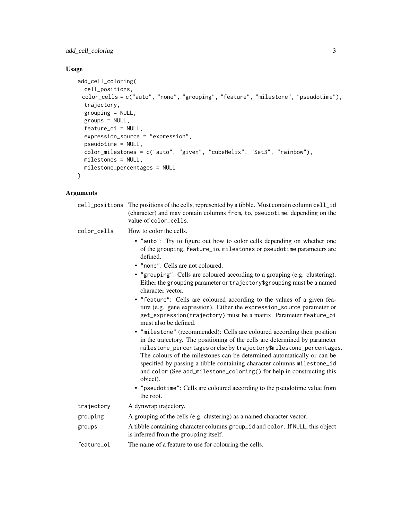add\_cell\_coloring 3

# Usage

```
add_cell_coloring(
 cell_positions,
 color_cells = c("auto", "none", "grouping", "feature", "milestone", "pseudotime"),
  trajectory,
  grouping = NULL,
  groups = NULL,
  feature_oi = NULL,
  expression_source = "expression",
  pseudotime = NULL,
  color_milestones = c("auto", "given", "cubeHelix", "Set3", "rainbow"),
  milestones = NULL,
  milestone_percentages = NULL
\mathcal{L}
```

|             | cell_positions The positions of the cells, represented by a tibble. Must contain column cell_id<br>(character) and may contain columns from, to, pseudotime, depending on the<br>value of color_cells.                                                                                                                                                                                                                                                                                                                                                              |
|-------------|---------------------------------------------------------------------------------------------------------------------------------------------------------------------------------------------------------------------------------------------------------------------------------------------------------------------------------------------------------------------------------------------------------------------------------------------------------------------------------------------------------------------------------------------------------------------|
| color_cells | How to color the cells.                                                                                                                                                                                                                                                                                                                                                                                                                                                                                                                                             |
|             | • "auto": Try to figure out how to color cells depending on whether one<br>of the grouping, feature_io, milestones or pseudotime parameters are<br>defined.<br>• "none": Cells are not coloured.                                                                                                                                                                                                                                                                                                                                                                    |
|             | • "grouping": Cells are coloured according to a grouping (e.g. clustering).<br>Either the grouping parameter or trajectory\$grouping must be a named<br>character vector.                                                                                                                                                                                                                                                                                                                                                                                           |
|             | • "feature": Cells are coloured according to the values of a given fea-<br>ture (e.g. gene expression). Either the expression_source parameter or<br>get_expression(trajectory) must be a matrix. Parameter feature_oi<br>must also be defined.                                                                                                                                                                                                                                                                                                                     |
|             | • "milestone" (recommended): Cells are coloured according their position<br>in the trajectory. The positioning of the cells are determined by parameter<br>milestone_percentages or else by trajectory\$milestone_percentages.<br>The colours of the milestones can be determined automatically or can be<br>specified by passing a tibble containing character columns milestone_id<br>and color (See add_milestone_coloring() for help in constructing this<br>object).<br>• "pseudotime": Cells are coloured according to the pseudotime value from<br>the root. |
| trajectory  | A dynwrap trajectory.                                                                                                                                                                                                                                                                                                                                                                                                                                                                                                                                               |
| grouping    | A grouping of the cells (e.g. clustering) as a named character vector.                                                                                                                                                                                                                                                                                                                                                                                                                                                                                              |
| groups      | A tibble containing character columns group_id and color. If NULL, this object<br>is inferred from the grouping itself.                                                                                                                                                                                                                                                                                                                                                                                                                                             |
| feature oi  | The name of a feature to use for colouring the cells.                                                                                                                                                                                                                                                                                                                                                                                                                                                                                                               |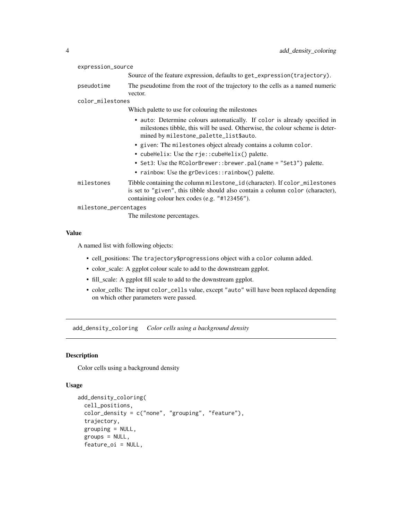<span id="page-3-0"></span>

| expression_source     |                                                                                                                                                                                                               |
|-----------------------|---------------------------------------------------------------------------------------------------------------------------------------------------------------------------------------------------------------|
|                       | Source of the feature expression, defaults to get_expression(trajectory).                                                                                                                                     |
| pseudotime            | The pseudotime from the root of the trajectory to the cells as a named numeric<br>vector.                                                                                                                     |
| color_milestones      |                                                                                                                                                                                                               |
|                       | Which palette to use for colouring the milestones                                                                                                                                                             |
|                       | • auto: Determine colours automatically. If color is already specified in<br>milestones tibble, this will be used. Otherwise, the colour scheme is deter-<br>mined by milestone_palette_list\$auto.           |
|                       | • given: The milestones object already contains a column color.<br>• cubeHelix: Use the rje::cubeHelix() palette.                                                                                             |
|                       | • Set3: Use the RColorBrewer::brewer.pal(name = "Set3") palette.<br>• rainbow: Use the grDevices::rainbow() palette.                                                                                          |
| milestones            | Tibble containing the column milestone_id (character). If color_milestones<br>is set to "given", this tibble should also contain a column color (character),<br>containing colour hex codes (e.g. "#123456"). |
| milestone_percentages |                                                                                                                                                                                                               |
|                       | The milestone percentages.                                                                                                                                                                                    |

A named list with following objects:

- cell\_positions: The trajectory\$progressions object with a color column added.
- color\_scale: A ggplot colour scale to add to the downstream ggplot.
- fill\_scale: A ggplot fill scale to add to the downstream ggplot.
- color\_cells: The input color\_cells value, except "auto" will have been replaced depending on which other parameters were passed.

add\_density\_coloring *Color cells using a background density*

#### Description

Color cells using a background density

```
add_density_coloring(
  cell_positions,
  color_{\perp} color_density = c("none", "grouping", "feature"),
  trajectory,
  grouping = NULL,
  groups = NULL,
  feature_oi = NULL,
```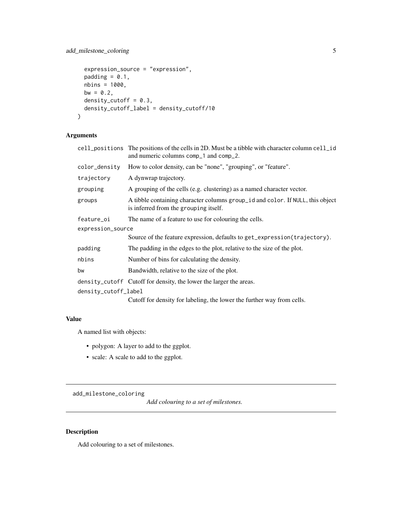# <span id="page-4-0"></span>add\_milestone\_coloring 5

```
expression_source = "expression",
 padding = 0.1,
 nbins = 1000,
 bw = 0.2,
 density_cutoff = 0.3,
 density_cutoff_label = density_cutoff/10
)
```
#### Arguments

|                      | cell_positions The positions of the cells in 2D. Must be a tibble with character column cell_id<br>and numeric columns comp_1 and comp_2. |  |  |
|----------------------|-------------------------------------------------------------------------------------------------------------------------------------------|--|--|
| color_density        | How to color density, can be "none", "grouping", or "feature".                                                                            |  |  |
| trajectory           | A dynwrap trajectory.                                                                                                                     |  |  |
| grouping             | A grouping of the cells (e.g. clustering) as a named character vector.                                                                    |  |  |
| groups               | A tibble containing character columns group_id and color. If NULL, this object<br>is inferred from the grouping itself.                   |  |  |
| feature_oi           | The name of a feature to use for colouring the cells.                                                                                     |  |  |
|                      | expression_source                                                                                                                         |  |  |
|                      | Source of the feature expression, defaults to get_expression(trajectory).                                                                 |  |  |
| padding              | The padding in the edges to the plot, relative to the size of the plot.                                                                   |  |  |
| nbins                | Number of bins for calculating the density.                                                                                               |  |  |
| bw                   | Bandwidth, relative to the size of the plot.                                                                                              |  |  |
|                      | density_cutoff Cutoff for density, the lower the larger the areas.                                                                        |  |  |
| density_cutoff_label |                                                                                                                                           |  |  |
|                      | Cutoff for density for labeling, the lower the further way from cells.                                                                    |  |  |

#### Value

A named list with objects:

- polygon: A layer to add to the ggplot.
- scale: A scale to add to the ggplot.

add\_milestone\_coloring

*Add colouring to a set of milestones.*

## Description

Add colouring to a set of milestones.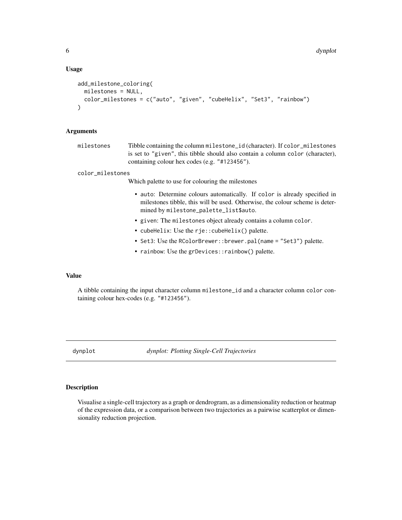#### <span id="page-5-0"></span>Usage

```
add_milestone_coloring(
  milestones = NULL,
  color_milestones = c("auto", "given", "cubeHelix", "Set3", "rainbow")
\lambda
```
#### Arguments

milestones Tibble containing the column milestone\_id (character). If color\_milestones is set to "given", this tibble should also contain a column color (character), containing colour hex codes (e.g. "#123456").

color\_milestones

Which palette to use for colouring the milestones

- auto: Determine colours automatically. If color is already specified in milestones tibble, this will be used. Otherwise, the colour scheme is determined by milestone\_palette\_list\$auto.
- given: The milestones object already contains a column color.
- cubeHelix: Use the rje::cubeHelix() palette.
- Set3: Use the RColorBrewer::brewer.pal(name = "Set3") palette.
- rainbow: Use the grDevices::rainbow() palette.

#### Value

A tibble containing the input character column milestone\_id and a character column color containing colour hex-codes (e.g. "#123456").

dynplot *dynplot: Plotting Single-Cell Trajectories*

#### Description

Visualise a single-cell trajectory as a graph or dendrogram, as a dimensionality reduction or heatmap of the expression data, or a comparison between two trajectories as a pairwise scatterplot or dimensionality reduction projection.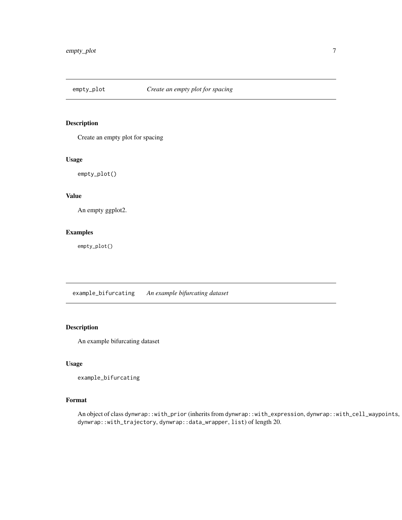<span id="page-6-0"></span>

#### Description

Create an empty plot for spacing

#### Usage

empty\_plot()

#### Value

An empty ggplot2.

#### Examples

empty\_plot()

example\_bifurcating *An example bifurcating dataset*

#### Description

An example bifurcating dataset

#### Usage

```
example_bifurcating
```
#### Format

An object of class dynwrap::with\_prior (inherits from dynwrap::with\_expression, dynwrap::with\_cell\_waypoints, dynwrap::with\_trajectory, dynwrap::data\_wrapper, list) of length 20.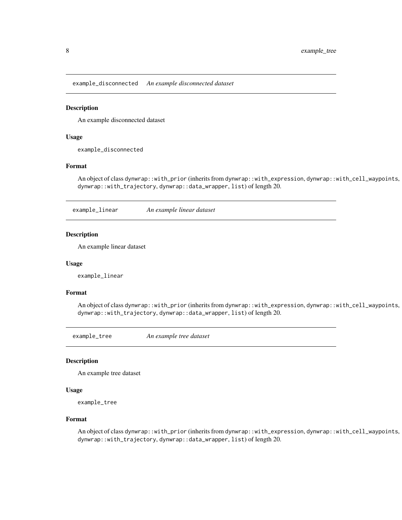<span id="page-7-0"></span>example\_disconnected *An example disconnected dataset*

#### Description

An example disconnected dataset

#### Usage

example\_disconnected

#### Format

An object of class dynwrap::with\_prior (inherits from dynwrap::with\_expression, dynwrap::with\_cell\_waypoints, dynwrap::with\_trajectory, dynwrap::data\_wrapper, list) of length 20.

example\_linear *An example linear dataset*

#### Description

An example linear dataset

#### Usage

example\_linear

#### Format

An object of class dynwrap::with\_prior (inherits from dynwrap::with\_expression, dynwrap::with\_cell\_waypoints, dynwrap::with\_trajectory, dynwrap::data\_wrapper, list) of length 20.

example\_tree *An example tree dataset*

#### Description

An example tree dataset

#### Usage

example\_tree

#### Format

An object of class dynwrap::with\_prior (inherits from dynwrap::with\_expression, dynwrap::with\_cell\_waypoints, dynwrap::with\_trajectory, dynwrap::data\_wrapper, list) of length 20.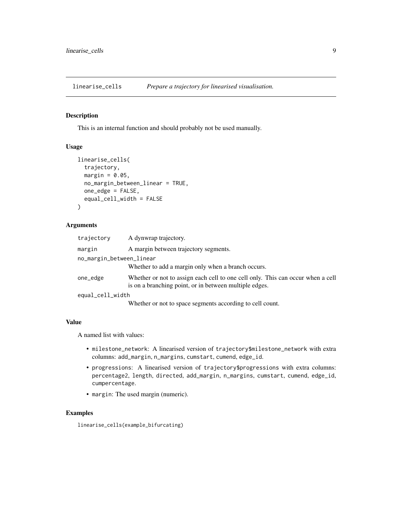<span id="page-8-0"></span>linearise\_cells *Prepare a trajectory for linearised visualisation.*

#### Description

This is an internal function and should probably not be used manually.

#### Usage

```
linearise_cells(
  trajectory,
  margin = 0.05,
  no_margin_between_linear = TRUE,
  one_edge = FALSE,
  equal_cell_width = FALSE
)
```
#### Arguments

| trajectory               | A dynwrap trajectory.                                                                                                                     |  |
|--------------------------|-------------------------------------------------------------------------------------------------------------------------------------------|--|
| margin                   | A margin between trajectory segments.                                                                                                     |  |
| no_margin_between_linear |                                                                                                                                           |  |
|                          | Whether to add a margin only when a branch occurs.                                                                                        |  |
| one_edge                 | Whether or not to assign each cell to one cell only. This can occur when a cell<br>is on a branching point, or in between multiple edges. |  |
| equal_cell_width         |                                                                                                                                           |  |
|                          | Whether or not to space segments according to cell count.                                                                                 |  |

#### Value

A named list with values:

- milestone\_network: A linearised version of trajectory\$milestone\_network with extra columns: add\_margin, n\_margins, cumstart, cumend, edge\_id.
- progressions: A linearised version of trajectory\$progressions with extra columns: percentage2, length, directed, add\_margin, n\_margins, cumstart, cumend, edge\_id, cumpercentage.
- margin: The used margin (numeric).

#### Examples

linearise\_cells(example\_bifurcating)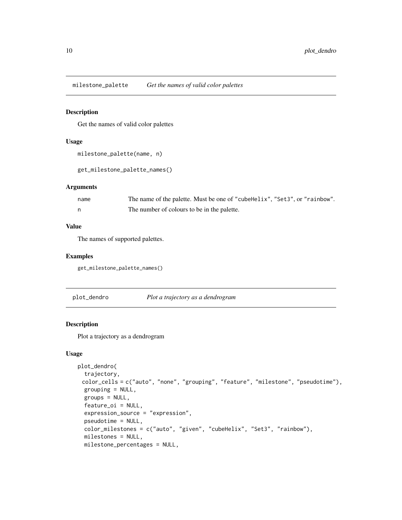<span id="page-9-0"></span>milestone\_palette *Get the names of valid color palettes*

#### Description

Get the names of valid color palettes

#### Usage

```
milestone_palette(name, n)
```
get\_milestone\_palette\_names()

#### Arguments

| name | The name of the palette. Must be one of "cubellerix", "Set3", or "rainbow". |
|------|-----------------------------------------------------------------------------|
|      | The number of colours to be in the palette.                                 |

#### Value

The names of supported palettes.

#### Examples

get\_milestone\_palette\_names()

plot\_dendro *Plot a trajectory as a dendrogram*

#### Description

Plot a trajectory as a dendrogram

```
plot_dendro(
  trajectory,
 color_cells = c("auto", "none", "grouping", "feature", "milestone", "pseudotime"),
 grouping = NULL,
 groups = NULL,
 feature_oi = NULL,
 expression_source = "expression",
 pseudotime = NULL,
 color_milestones = c("auto", "given", "cubeHelix", "Set3", "rainbow"),
 milestones = NULL,
 milestone_percentages = NULL,
```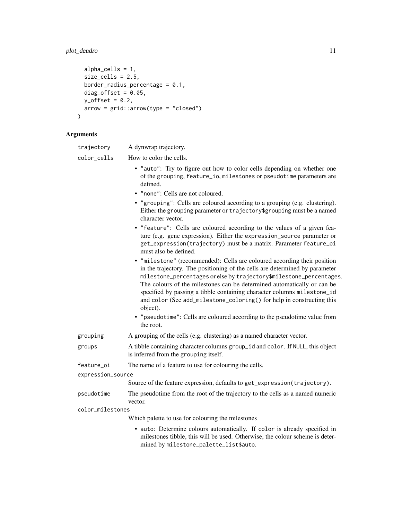# plot\_dendro 11

```
alpha_cells = 1,
  size_cells = 2.5,
 border_radius_percentage = 0.1,
  diag_offset = 0.05,
  y_{\text{offset}} = 0.2,
 arrow = grid::arrow(type = "closed")
\mathcal{L}
```

| trajectory        | A dynwrap trajectory.                                                                                                                                                                                                                                                                                                                                                                                                                                                                                                                                               |  |
|-------------------|---------------------------------------------------------------------------------------------------------------------------------------------------------------------------------------------------------------------------------------------------------------------------------------------------------------------------------------------------------------------------------------------------------------------------------------------------------------------------------------------------------------------------------------------------------------------|--|
| color_cells       | How to color the cells.                                                                                                                                                                                                                                                                                                                                                                                                                                                                                                                                             |  |
|                   | • "auto": Try to figure out how to color cells depending on whether one<br>of the grouping, feature_io, milestones or pseudotime parameters are<br>defined.                                                                                                                                                                                                                                                                                                                                                                                                         |  |
|                   | • "none": Cells are not coloured.                                                                                                                                                                                                                                                                                                                                                                                                                                                                                                                                   |  |
|                   | • "grouping": Cells are coloured according to a grouping (e.g. clustering).<br>Either the grouping parameter or trajectory\$grouping must be a named<br>character vector.                                                                                                                                                                                                                                                                                                                                                                                           |  |
|                   | • "feature": Cells are coloured according to the values of a given fea-<br>ture (e.g. gene expression). Either the expression_source parameter or<br>get_expression(trajectory) must be a matrix. Parameter feature_oi<br>must also be defined.                                                                                                                                                                                                                                                                                                                     |  |
|                   | • "milestone" (recommended): Cells are coloured according their position<br>in the trajectory. The positioning of the cells are determined by parameter<br>milestone_percentages or else by trajectory\$milestone_percentages.<br>The colours of the milestones can be determined automatically or can be<br>specified by passing a tibble containing character columns milestone_id<br>and color (See add_milestone_coloring() for help in constructing this<br>object).<br>• "pseudotime": Cells are coloured according to the pseudotime value from<br>the root. |  |
| grouping          | A grouping of the cells (e.g. clustering) as a named character vector.                                                                                                                                                                                                                                                                                                                                                                                                                                                                                              |  |
| groups            | A tibble containing character columns group_id and color. If NULL, this object<br>is inferred from the grouping itself.                                                                                                                                                                                                                                                                                                                                                                                                                                             |  |
| feature_oi        | The name of a feature to use for colouring the cells.                                                                                                                                                                                                                                                                                                                                                                                                                                                                                                               |  |
| expression_source |                                                                                                                                                                                                                                                                                                                                                                                                                                                                                                                                                                     |  |
|                   | Source of the feature expression, defaults to get_expression(trajectory).                                                                                                                                                                                                                                                                                                                                                                                                                                                                                           |  |
| pseudotime        | The pseudotime from the root of the trajectory to the cells as a named numeric<br>vector.                                                                                                                                                                                                                                                                                                                                                                                                                                                                           |  |
| color_milestones  |                                                                                                                                                                                                                                                                                                                                                                                                                                                                                                                                                                     |  |
|                   | Which palette to use for colouring the milestones                                                                                                                                                                                                                                                                                                                                                                                                                                                                                                                   |  |
|                   | • auto: Determine colours automatically. If color is already specified in<br>milestones tibble, this will be used. Otherwise, the colour scheme is deter-<br>mined by milestone_palette_list\$auto.                                                                                                                                                                                                                                                                                                                                                                 |  |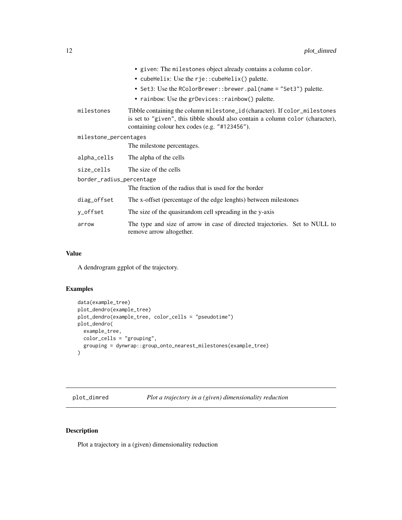<span id="page-11-0"></span>

|                          | • given: The milestones object already contains a column color.                                                                                                                                               |
|--------------------------|---------------------------------------------------------------------------------------------------------------------------------------------------------------------------------------------------------------|
|                          | • cubeHelix: Use the $r$ je:: cubeHelix() palette.                                                                                                                                                            |
|                          | • Set3: Use the RColorBrewer::brewer.pal(name = "Set3") palette.                                                                                                                                              |
|                          | • rainbow: Use the grDevices:: rainbow() palette.                                                                                                                                                             |
| milestones               | Tibble containing the column milestone_id (character). If color_milestones<br>is set to "given", this tibble should also contain a column color (character),<br>containing colour hex codes (e.g. "#123456"). |
| milestone_percentages    |                                                                                                                                                                                                               |
|                          | The milestone percentages.                                                                                                                                                                                    |
| alpha_cells              | The alpha of the cells                                                                                                                                                                                        |
| size_cells               | The size of the cells                                                                                                                                                                                         |
| border_radius_percentage |                                                                                                                                                                                                               |
|                          | The fraction of the radius that is used for the border                                                                                                                                                        |
| diag_offset              | The x-offset (percentage of the edge lenghts) between milestones                                                                                                                                              |
| y_offset                 | The size of the quasirandom cell spreading in the y-axis                                                                                                                                                      |
| arrow                    | The type and size of arrow in case of directed trajectories. Set to NULL to<br>remove arrow altogether.                                                                                                       |

A dendrogram ggplot of the trajectory.

# Examples

```
data(example_tree)
plot_dendro(example_tree)
plot_dendro(example_tree, color_cells = "pseudotime")
plot_dendro(
  example_tree,
  color_cells = "grouping",
  grouping = dynwrap::group_onto_nearest_milestones(example_tree)
\overline{\phantom{a}}
```
plot\_dimred *Plot a trajectory in a (given) dimensionality reduction*

# Description

Plot a trajectory in a (given) dimensionality reduction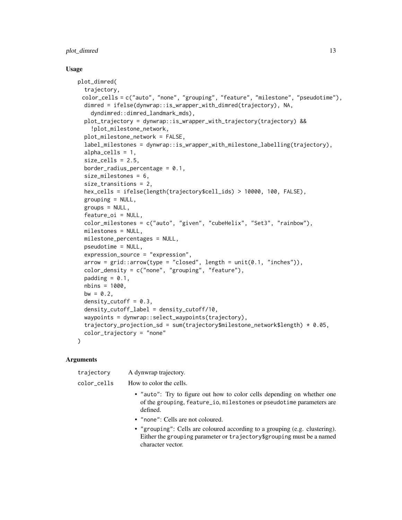#### plot\_dimred 13

#### Usage

```
plot_dimred(
  trajectory,
 color_cells = c("auto", "none", "grouping", "feature", "milestone", "pseudotime"),
 dimred = ifelse(dynwrap::is_wrapper_with_dimred(trajectory), NA,
    dyndimred::dimred_landmark_mds),
 plot_trajectory = dynwrap::is_wrapper_with_trajectory(trajectory) &&
    !plot_milestone_network,
  plot_milestone_network = FALSE,
  label_milestones = dynwrap::is_wrapper_with_milestone_labelling(trajectory),
  alpha_cells = 1,
  size_cells = 2.5,
  border_radius_percentage = 0.1,
  size_milestones = 6,
  size_transitions = 2,
  hex_cells = ifelse(length(trajectory$cell_ids) > 10000, 100, FALSE),
  grouping = NULL,
  groups = NULL,feature_oi = NULL,
  color_milestones = c("auto", "given", "cubeHelix", "Set3", "rainbow"),
  milestones = NULL,
 milestone_percentages = NULL,
 pseudotime = NULL,
  expression_source = "expression",
  arrow = grid::arrow(type = "closed", length = unit(0.1, "inches")),
  color_density = c("none", "grouping", "feature"),
  padding = 0.1,
  nbins = 1000,
 bw = 0.2,
  density_cutoff = 0.3,
  density_cutoff_label = density_cutoff/10,
  waypoints = dynwrap::select_waypoints(trajectory),
  trajectory_projection_sd = sum(trajectory$milestone_network$length) * 0.05,
  color_trajectory = "none"
)
```

| trajectory  | A dynwrap trajectory.                                                                                                                                                     |
|-------------|---------------------------------------------------------------------------------------------------------------------------------------------------------------------------|
| color_cells | How to color the cells.                                                                                                                                                   |
|             | • "auto": Try to figure out how to color cells depending on whether one<br>of the grouping, feature_io, milestones or pseudotime parameters are<br>defined.               |
|             | • "none": Cells are not coloured.                                                                                                                                         |
|             | • "grouping": Cells are coloured according to a grouping (e.g. clustering).<br>Either the grouping parameter or trajectory\$grouping must be a named<br>character vector. |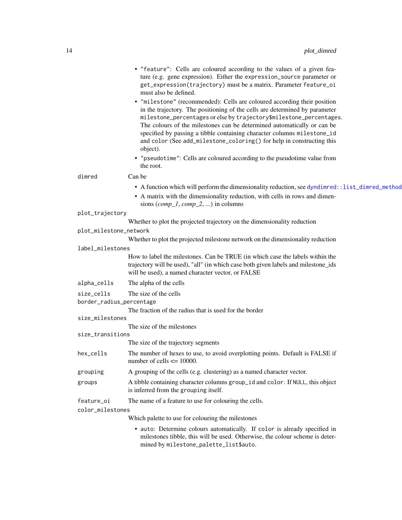<span id="page-13-0"></span>

|                          | • "feature": Cells are coloured according to the values of a given fea-<br>ture (e.g. gene expression). Either the expression_source parameter or<br>get_expression(trajectory) must be a matrix. Parameter feature_oi<br>must also be defined.                                                                                                                                                                                                                                                                                                        |
|--------------------------|--------------------------------------------------------------------------------------------------------------------------------------------------------------------------------------------------------------------------------------------------------------------------------------------------------------------------------------------------------------------------------------------------------------------------------------------------------------------------------------------------------------------------------------------------------|
|                          | • "milestone" (recommended): Cells are coloured according their position<br>in the trajectory. The positioning of the cells are determined by parameter<br>milestone_percentages or else by trajectory\$milestone_percentages.<br>The colours of the milestones can be determined automatically or can be<br>specified by passing a tibble containing character columns milestone_id<br>and color (See add_milestone_coloring() for help in constructing this<br>object).<br>• "pseudotime": Cells are coloured according to the pseudotime value from |
| dimred                   | the root.<br>Can be                                                                                                                                                                                                                                                                                                                                                                                                                                                                                                                                    |
|                          |                                                                                                                                                                                                                                                                                                                                                                                                                                                                                                                                                        |
|                          | • A function which will perform the dimensionality reduction, see dyndimred::list_dimred_method<br>• A matrix with the dimensionality reduction, with cells in rows and dimen-<br>sions $(comp_1, comp_2, )$ in columns                                                                                                                                                                                                                                                                                                                                |
| plot_trajectory          |                                                                                                                                                                                                                                                                                                                                                                                                                                                                                                                                                        |
|                          | Whether to plot the projected trajectory on the dimensionality reduction                                                                                                                                                                                                                                                                                                                                                                                                                                                                               |
| plot_milestone_network   |                                                                                                                                                                                                                                                                                                                                                                                                                                                                                                                                                        |
|                          | Whether to plot the projected milestone network on the dimensionality reduction                                                                                                                                                                                                                                                                                                                                                                                                                                                                        |
| label_milestones         |                                                                                                                                                                                                                                                                                                                                                                                                                                                                                                                                                        |
|                          | How to label the milestones. Can be TRUE (in which case the labels within the<br>trajectory will be used), "all" (in which case both given labels and milestone_ids<br>will be used), a named character vector, or FALSE                                                                                                                                                                                                                                                                                                                               |
| alpha_cells              | The alpha of the cells                                                                                                                                                                                                                                                                                                                                                                                                                                                                                                                                 |
| size_cells               | The size of the cells                                                                                                                                                                                                                                                                                                                                                                                                                                                                                                                                  |
| border_radius_percentage |                                                                                                                                                                                                                                                                                                                                                                                                                                                                                                                                                        |
|                          | The fraction of the radius that is used for the border                                                                                                                                                                                                                                                                                                                                                                                                                                                                                                 |
| size_milestones          |                                                                                                                                                                                                                                                                                                                                                                                                                                                                                                                                                        |
| size_transitions         | The size of the milestones                                                                                                                                                                                                                                                                                                                                                                                                                                                                                                                             |
|                          | The size of the trajectory segments                                                                                                                                                                                                                                                                                                                                                                                                                                                                                                                    |
| hex_cells                | The number of hexes to use, to avoid overplotting points. Default is FALSE if<br>number of cells $\leq$ 10000.                                                                                                                                                                                                                                                                                                                                                                                                                                         |
| grouping                 | A grouping of the cells (e.g. clustering) as a named character vector.                                                                                                                                                                                                                                                                                                                                                                                                                                                                                 |
| groups                   | A tibble containing character columns group_id and color. If NULL, this object<br>is inferred from the grouping itself.                                                                                                                                                                                                                                                                                                                                                                                                                                |
| feature_oi               | The name of a feature to use for colouring the cells.                                                                                                                                                                                                                                                                                                                                                                                                                                                                                                  |
| color_milestones         |                                                                                                                                                                                                                                                                                                                                                                                                                                                                                                                                                        |
|                          | Which palette to use for colouring the milestones                                                                                                                                                                                                                                                                                                                                                                                                                                                                                                      |
|                          | • auto: Determine colours automatically. If color is already specified in<br>milestones tibble, this will be used. Otherwise, the colour scheme is deter-<br>mined by milestone_palette_list\$auto.                                                                                                                                                                                                                                                                                                                                                    |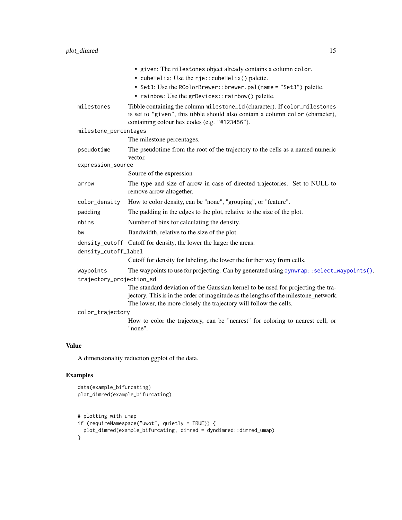<span id="page-14-0"></span>

|                          | • given: The milestones object already contains a column color.                                                                                                                                               |  |
|--------------------------|---------------------------------------------------------------------------------------------------------------------------------------------------------------------------------------------------------------|--|
|                          | • cubeHelix: Use the rje:: cubeHelix() palette.                                                                                                                                                               |  |
|                          | • Set3: Use the RColorBrewer:: brewer.pal(name = "Set3") palette.                                                                                                                                             |  |
|                          | • rainbow: Use the grDevices::rainbow() palette.                                                                                                                                                              |  |
| milestones               | Tibble containing the column milestone_id (character). If color_milestones<br>is set to "given", this tibble should also contain a column color (character),<br>containing colour hex codes (e.g. "#123456"). |  |
| milestone_percentages    |                                                                                                                                                                                                               |  |
|                          | The milestone percentages.                                                                                                                                                                                    |  |
| pseudotime               | The pseudotime from the root of the trajectory to the cells as a named numeric<br>vector.                                                                                                                     |  |
| expression_source        |                                                                                                                                                                                                               |  |
|                          | Source of the expression                                                                                                                                                                                      |  |
| arrow                    | The type and size of arrow in case of directed trajectories. Set to NULL to<br>remove arrow altogether.                                                                                                       |  |
| color_density            | How to color density, can be "none", "grouping", or "feature".                                                                                                                                                |  |
| padding                  | The padding in the edges to the plot, relative to the size of the plot.                                                                                                                                       |  |
| nbins                    | Number of bins for calculating the density.                                                                                                                                                                   |  |
| bw                       | Bandwidth, relative to the size of the plot.                                                                                                                                                                  |  |
|                          | density_cutoff Cutoff for density, the lower the larger the areas.                                                                                                                                            |  |
| density_cutoff_label     |                                                                                                                                                                                                               |  |
|                          | Cutoff for density for labeling, the lower the further way from cells.                                                                                                                                        |  |
| waypoints                | The waypoints to use for projecting. Can by generated using dynwrap: : select_waypoints().                                                                                                                    |  |
| trajectory_projection_sd |                                                                                                                                                                                                               |  |
|                          | The standard deviation of the Gaussian kernel to be used for projecting the tra-                                                                                                                              |  |
|                          | jectory. This is in the order of magnitude as the lengths of the milestone_network.<br>The lower, the more closely the trajectory will follow the cells.                                                      |  |
| color_trajectory         |                                                                                                                                                                                                               |  |
|                          | How to color the trajectory, can be "nearest" for coloring to nearest cell, or<br>"none".                                                                                                                     |  |
|                          |                                                                                                                                                                                                               |  |

A dimensionality reduction ggplot of the data.

# Examples

```
data(example_bifurcating)
plot_dimred(example_bifurcating)
# plotting with umap
if (requireNamespace("uwot", quietly = TRUE)) {
 plot_dimred(example_bifurcating, dimred = dyndimred::dimred_umap)
}
```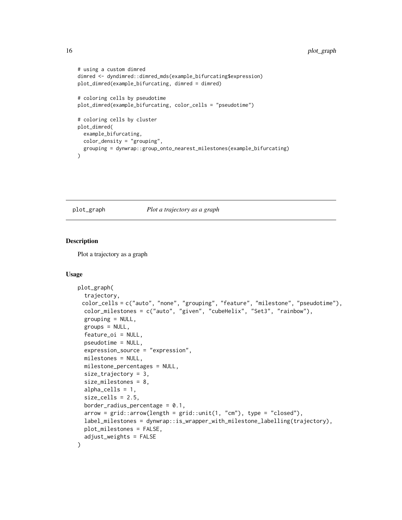```
# using a custom dimred
dimred <- dyndimred::dimred_mds(example_bifurcating$expression)
plot_dimred(example_bifurcating, dimred = dimred)
# coloring cells by pseudotime
plot_dimred(example_bifurcating, color_cells = "pseudotime")
# coloring cells by cluster
plot_dimred(
 example_bifurcating,
 color_density = "grouping",
 grouping = dynwrap::group_onto_nearest_milestones(example_bifurcating)
\mathcal{L}
```
#### plot\_graph *Plot a trajectory as a graph*

#### Description

Plot a trajectory as a graph

```
plot_graph(
  trajectory,
 color_cells = c("auto", "none", "grouping", "feature", "milestone", "pseudotime"),
  color_milestones = c("auto", "given", "cubeHelix", "Set3", "rainbow"),
  grouping = NULL,groups = NULL,feature_oi = NULL,
  pseudotime = NULL,
  expression_source = "expression",
 milestones = NULL,
 milestone_percentages = NULL,
  size_trajectory = 3,
  size_milestones = 8,
  alpha_cells = 1,
  size_cells = 2.5,
  border_radius_percentage = 0.1,
  arrow = grid::arrow(length = grid::unit(1, "cm"), type = "closed"),
  label_milestones = dynwrap::is_wrapper_with_milestone_labelling(trajectory),
  plot_milestones = FALSE,
  adjust_weights = FALSE
)
```
<span id="page-15-0"></span>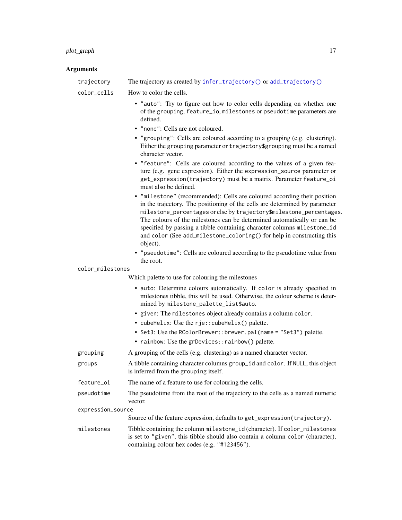# <span id="page-16-0"></span>plot\_graph 17

| trajectory        | The trajectory as created by infer_trajectory() or add_trajectory()                                                                                                                                                                                                                                                                                                                                                                                                       |
|-------------------|---------------------------------------------------------------------------------------------------------------------------------------------------------------------------------------------------------------------------------------------------------------------------------------------------------------------------------------------------------------------------------------------------------------------------------------------------------------------------|
| color_cells       | How to color the cells.                                                                                                                                                                                                                                                                                                                                                                                                                                                   |
|                   | • "auto": Try to figure out how to color cells depending on whether one<br>of the grouping, feature_io, milestones or pseudotime parameters are<br>defined.                                                                                                                                                                                                                                                                                                               |
|                   | • "none": Cells are not coloured.                                                                                                                                                                                                                                                                                                                                                                                                                                         |
|                   | • "grouping": Cells are coloured according to a grouping (e.g. clustering).<br>Either the grouping parameter or trajectory\$grouping must be a named<br>character vector.                                                                                                                                                                                                                                                                                                 |
|                   | • "feature": Cells are coloured according to the values of a given fea-<br>ture (e.g. gene expression). Either the expression_source parameter or<br>get_expression(trajectory) must be a matrix. Parameter feature_oi<br>must also be defined.                                                                                                                                                                                                                           |
|                   | • "milestone" (recommended): Cells are coloured according their position<br>in the trajectory. The positioning of the cells are determined by parameter<br>milestone_percentages or else by trajectory\$milestone_percentages.<br>The colours of the milestones can be determined automatically or can be<br>specified by passing a tibble containing character columns milestone_id<br>and color (See add_milestone_coloring() for help in constructing this<br>object). |
|                   | • "pseudotime": Cells are coloured according to the pseudotime value from                                                                                                                                                                                                                                                                                                                                                                                                 |
| color_milestones  | the root.                                                                                                                                                                                                                                                                                                                                                                                                                                                                 |
|                   | Which palette to use for colouring the milestones                                                                                                                                                                                                                                                                                                                                                                                                                         |
|                   | • auto: Determine colours automatically. If color is already specified in<br>milestones tibble, this will be used. Otherwise, the colour scheme is deter-<br>mined by milestone_palette_list\$auto.                                                                                                                                                                                                                                                                       |
|                   | · given: The milestones object already contains a column color.                                                                                                                                                                                                                                                                                                                                                                                                           |
|                   | • cubeHelix: Use the rje:: cubeHelix() palette.                                                                                                                                                                                                                                                                                                                                                                                                                           |
|                   | • Set3: Use the RColorBrewer::brewer.pal(name = "Set3") palette.                                                                                                                                                                                                                                                                                                                                                                                                          |
|                   | • rainbow: Use the grDevices:: rainbow() palette.                                                                                                                                                                                                                                                                                                                                                                                                                         |
| grouping          | A grouping of the cells (e.g. clustering) as a named character vector.                                                                                                                                                                                                                                                                                                                                                                                                    |
| groups            | A tibble containing character columns group_id and color. If NULL, this object<br>is inferred from the grouping itself.                                                                                                                                                                                                                                                                                                                                                   |
| feature_oi        | The name of a feature to use for colouring the cells.                                                                                                                                                                                                                                                                                                                                                                                                                     |
| pseudotime        | The pseudotime from the root of the trajectory to the cells as a named numeric<br>vector.                                                                                                                                                                                                                                                                                                                                                                                 |
| expression_source |                                                                                                                                                                                                                                                                                                                                                                                                                                                                           |
|                   | Source of the feature expression, defaults to get_expression(trajectory).                                                                                                                                                                                                                                                                                                                                                                                                 |
| milestones        | Tibble containing the column milestone_id (character). If color_milestones<br>is set to "given", this tibble should also contain a column color (character),<br>containing colour hex codes (e.g. "#123456").                                                                                                                                                                                                                                                             |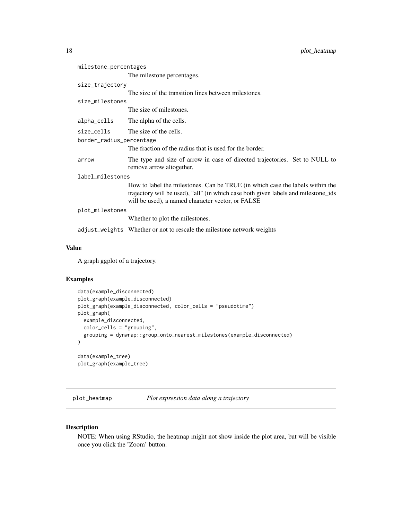<span id="page-17-0"></span>

| milestone_percentages    |                                                                                                                                                                                                                          |
|--------------------------|--------------------------------------------------------------------------------------------------------------------------------------------------------------------------------------------------------------------------|
|                          | The milestone percentages.                                                                                                                                                                                               |
| size_trajectory          |                                                                                                                                                                                                                          |
|                          | The size of the transition lines between milestones.                                                                                                                                                                     |
| size_milestones          |                                                                                                                                                                                                                          |
|                          | The size of milestones.                                                                                                                                                                                                  |
| alpha_cells              | The alpha of the cells.                                                                                                                                                                                                  |
| size_cells               | The size of the cells.                                                                                                                                                                                                   |
| border_radius_percentage |                                                                                                                                                                                                                          |
|                          | The fraction of the radius that is used for the border.                                                                                                                                                                  |
| arrow                    | The type and size of arrow in case of directed trajectories. Set to NULL to<br>remove arrow altogether.                                                                                                                  |
| label_milestones         |                                                                                                                                                                                                                          |
|                          | How to label the milestones. Can be TRUE (in which case the labels within the<br>trajectory will be used), "all" (in which case both given labels and milestone_ids<br>will be used), a named character vector, or FALSE |
| plot_milestones          |                                                                                                                                                                                                                          |
|                          | Whether to plot the milestones.                                                                                                                                                                                          |
|                          | adjust_weights Whether or not to rescale the milestone network weights                                                                                                                                                   |

A graph ggplot of a trajectory.

#### Examples

```
data(example_disconnected)
plot_graph(example_disconnected)
plot_graph(example_disconnected, color_cells = "pseudotime")
plot_graph(
  example_disconnected,
  color_cells = "grouping",
  grouping = dynwrap::group_onto_nearest_milestones(example_disconnected)
)
data(example_tree)
plot_graph(example_tree)
```
plot\_heatmap *Plot expression data along a trajectory*

# Description

NOTE: When using RStudio, the heatmap might not show inside the plot area, but will be visible once you click the 'Zoom' button.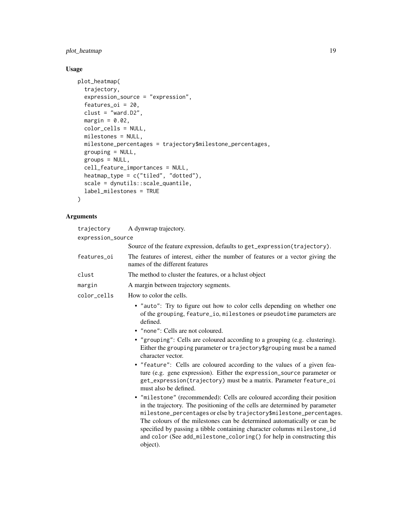# plot\_heatmap 19

# Usage

```
plot_heatmap(
  trajectory,
  expression_source = "expression",
  features_oi = 20,
  clust = "ward.D2",
  margin = 0.02,
  color_cells = NULL,
  milestones = NULL,
  milestone_percentages = trajectory$milestone_percentages,
  grouping = NULL,
  groups = NULL,
  cell_feature_importances = NULL,
  heatmap_type = c("tiled", "dotted"),
  scale = dynutils::scale_quantile,
  label_milestones = TRUE
\mathcal{L}
```

|                   | trajectory  | A dynwrap trajectory.                                                                                                                                                                                                                                                                                                                                                                                                                                                     |
|-------------------|-------------|---------------------------------------------------------------------------------------------------------------------------------------------------------------------------------------------------------------------------------------------------------------------------------------------------------------------------------------------------------------------------------------------------------------------------------------------------------------------------|
| expression_source |             |                                                                                                                                                                                                                                                                                                                                                                                                                                                                           |
|                   |             | Source of the feature expression, defaults to get_expression(trajectory).                                                                                                                                                                                                                                                                                                                                                                                                 |
|                   | features oi | The features of interest, either the number of features or a vector giving the<br>names of the different features                                                                                                                                                                                                                                                                                                                                                         |
|                   | clust       | The method to cluster the features, or a holust object                                                                                                                                                                                                                                                                                                                                                                                                                    |
|                   | margin      | A margin between trajectory segments.                                                                                                                                                                                                                                                                                                                                                                                                                                     |
|                   | color_cells | How to color the cells.                                                                                                                                                                                                                                                                                                                                                                                                                                                   |
|                   |             | • "auto": Try to figure out how to color cells depending on whether one<br>of the grouping, feature_io, milestones or pseudotime parameters are<br>defined.                                                                                                                                                                                                                                                                                                               |
|                   |             | • "none": Cells are not coloured.                                                                                                                                                                                                                                                                                                                                                                                                                                         |
|                   |             | • "grouping": Cells are coloured according to a grouping (e.g. clustering).<br>Either the grouping parameter or trajectory\$grouping must be a named<br>character vector.                                                                                                                                                                                                                                                                                                 |
|                   |             | • "feature": Cells are coloured according to the values of a given fea-<br>ture (e.g. gene expression). Either the expression_source parameter or<br>get_expression(trajectory) must be a matrix. Parameter feature_oi<br>must also be defined.                                                                                                                                                                                                                           |
|                   |             | • "milestone" (recommended): Cells are coloured according their position<br>in the trajectory. The positioning of the cells are determined by parameter<br>milestone_percentages or else by trajectory\$milestone_percentages.<br>The colours of the milestones can be determined automatically or can be<br>specified by passing a tibble containing character columns milestone_id<br>and color (See add_milestone_coloring() for help in constructing this<br>object). |
|                   |             |                                                                                                                                                                                                                                                                                                                                                                                                                                                                           |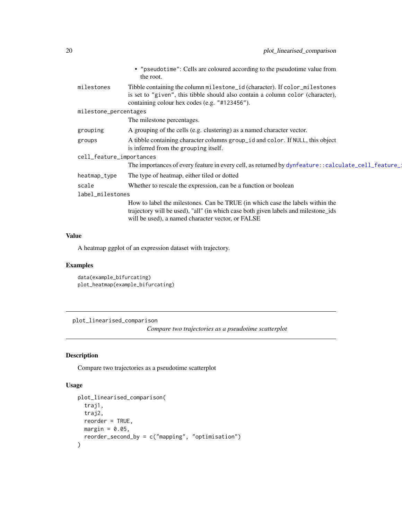<span id="page-19-0"></span>

|                       |                          | • "pseudotime": Cells are coloured according to the pseudotime value from<br>the root.                                                                                                                                   |
|-----------------------|--------------------------|--------------------------------------------------------------------------------------------------------------------------------------------------------------------------------------------------------------------------|
|                       | milestones               | Tibble containing the column milestone_id (character). If color_milestones<br>is set to "given", this tibble should also contain a column color (character),<br>containing colour hex codes (e.g. "#123456").            |
| milestone_percentages |                          |                                                                                                                                                                                                                          |
|                       |                          | The milestone percentages.                                                                                                                                                                                               |
|                       | grouping                 | A grouping of the cells (e.g. clustering) as a named character vector.                                                                                                                                                   |
|                       | groups                   | A tibble containing character columns group_id and color. If NULL, this object<br>is inferred from the grouping itself.                                                                                                  |
|                       | cell_feature_importances |                                                                                                                                                                                                                          |
|                       |                          | The importances of every feature in every cell, as returned by dynfeature:: calculate_cell_feature_                                                                                                                      |
|                       | heatmap_type             | The type of heatmap, either tiled or dotted                                                                                                                                                                              |
|                       | scale                    | Whether to rescale the expression, can be a function or boolean                                                                                                                                                          |
|                       | label_milestones         |                                                                                                                                                                                                                          |
|                       |                          | How to label the milestones. Can be TRUE (in which case the labels within the<br>trajectory will be used), "all" (in which case both given labels and milestone ids<br>will be used), a named character vector, or FALSE |
|                       |                          |                                                                                                                                                                                                                          |

A heatmap ggplot of an expression dataset with trajectory.

#### Examples

```
data(example_bifurcating)
plot_heatmap(example_bifurcating)
```
plot\_linearised\_comparison

*Compare two trajectories as a pseudotime scatterplot*

#### Description

Compare two trajectories as a pseudotime scatterplot

```
plot_linearised_comparison(
  traj1,
 traj2,
 reorder = TRUE,
 margin = 0.05,
  reorder_second_by = c("mapping", "optimisation")
\mathcal{E}
```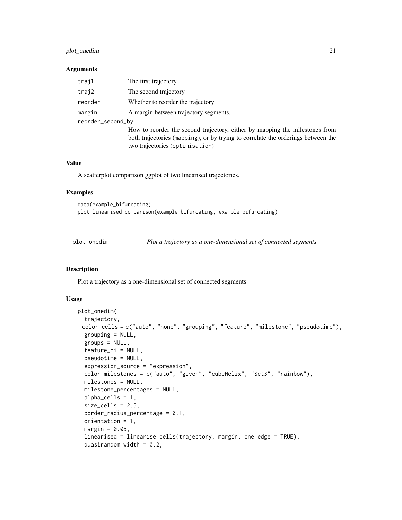#### <span id="page-20-0"></span>plot\_onedim 21

#### **Arguments**

| traj1             | The first trajectory                                                             |
|-------------------|----------------------------------------------------------------------------------|
| traj2             | The second trajectory                                                            |
| reorder           | Whether to reorder the trajectory                                                |
| margin            | A margin between trajectory segments.                                            |
| reorder_second_by |                                                                                  |
|                   | How to reorder the second trajectory, either by mapping the milestones from      |
|                   | both trajectories (mapping), or by trying to correlate the orderings between the |
|                   | two trajectories (optimisation)                                                  |

#### Value

A scatterplot comparison ggplot of two linearised trajectories.

#### Examples

```
data(example_bifurcating)
plot_linearised_comparison(example_bifurcating, example_bifurcating)
```
plot\_onedim *Plot a trajectory as a one-dimensional set of connected segments*

#### Description

Plot a trajectory as a one-dimensional set of connected segments

```
plot_onedim(
  trajectory,
 color_cells = c("auto", "none", "grouping", "feature", "milestone", "pseudotime"),
  grouping = NULL,groups = NULL,
  feature_oi = NULL,
  pseudotime = NULL,
  expression_source = "expression",
  color_milestones = c("auto", "given", "cubeHelix", "Set3", "rainbow"),
 milestones = NULL,
  milestone_percentages = NULL,
  alpha_cells = 1,
  size cells = 2.5,
  border_radius_percentage = 0.1,
  orientation = 1,
  margin = 0.05,
  linearised = linearise_cells(trajectory, margin, one_edge = TRUE),
  quasirandom_width = 0.2,
```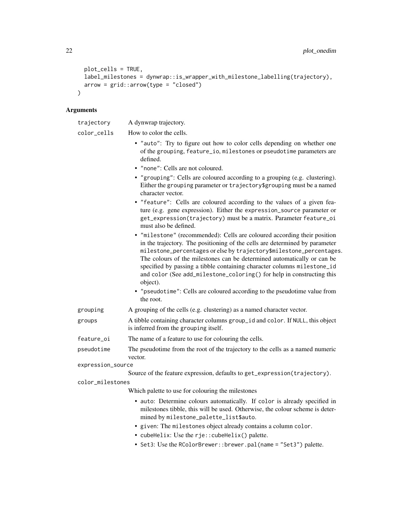```
plot_cells = TRUE,
  label_milestones = dynwrap::is_wrapper_with_milestone_labelling(trajectory),
 arrow = grid::arrow(type = "closed")\lambda
```

| trajectory        | A dynwrap trajectory.                                                                                                                                                                                                                                                                                                                                                                                                                                                     |
|-------------------|---------------------------------------------------------------------------------------------------------------------------------------------------------------------------------------------------------------------------------------------------------------------------------------------------------------------------------------------------------------------------------------------------------------------------------------------------------------------------|
| color_cells       | How to color the cells.                                                                                                                                                                                                                                                                                                                                                                                                                                                   |
|                   | • "auto": Try to figure out how to color cells depending on whether one<br>of the grouping, feature_io, milestones or pseudotime parameters are<br>defined.                                                                                                                                                                                                                                                                                                               |
|                   | • "none": Cells are not coloured.                                                                                                                                                                                                                                                                                                                                                                                                                                         |
|                   | • "grouping": Cells are coloured according to a grouping (e.g. clustering).<br>Either the grouping parameter or trajectory\$grouping must be a named<br>character vector.                                                                                                                                                                                                                                                                                                 |
|                   | • "feature": Cells are coloured according to the values of a given fea-<br>ture (e.g. gene expression). Either the expression_source parameter or<br>get_expression(trajectory) must be a matrix. Parameter feature_oi<br>must also be defined.                                                                                                                                                                                                                           |
|                   | • "milestone" (recommended): Cells are coloured according their position<br>in the trajectory. The positioning of the cells are determined by parameter<br>milestone_percentages or else by trajectory\$milestone_percentages.<br>The colours of the milestones can be determined automatically or can be<br>specified by passing a tibble containing character columns milestone_id<br>and color (See add_milestone_coloring() for help in constructing this<br>object). |
|                   | • "pseudotime": Cells are coloured according to the pseudotime value from<br>the root.                                                                                                                                                                                                                                                                                                                                                                                    |
| grouping          | A grouping of the cells (e.g. clustering) as a named character vector.                                                                                                                                                                                                                                                                                                                                                                                                    |
| groups            | A tibble containing character columns group_id and color. If NULL, this object<br>is inferred from the grouping itself.                                                                                                                                                                                                                                                                                                                                                   |
| feature_oi        | The name of a feature to use for colouring the cells.                                                                                                                                                                                                                                                                                                                                                                                                                     |
| pseudotime        | The pseudotime from the root of the trajectory to the cells as a named numeric<br>vector.                                                                                                                                                                                                                                                                                                                                                                                 |
| expression_source |                                                                                                                                                                                                                                                                                                                                                                                                                                                                           |
|                   | Source of the feature expression, defaults to get_expression(trajectory).                                                                                                                                                                                                                                                                                                                                                                                                 |
| color_milestones  |                                                                                                                                                                                                                                                                                                                                                                                                                                                                           |
|                   | Which palette to use for colouring the milestones                                                                                                                                                                                                                                                                                                                                                                                                                         |
|                   | · auto: Determine colours automatically. If color is already specified in<br>milestones tibble, this will be used. Otherwise, the colour scheme is deter-<br>mined by milestone_palette_list\$auto.                                                                                                                                                                                                                                                                       |
|                   | • given: The milestones object already contains a column color.                                                                                                                                                                                                                                                                                                                                                                                                           |
|                   | • cubeHelix: Use the rje:: cubeHelix() palette.                                                                                                                                                                                                                                                                                                                                                                                                                           |
|                   | • Set3: Use the RColorBrewer:: brewer.pal(name = "Set3") palette.                                                                                                                                                                                                                                                                                                                                                                                                         |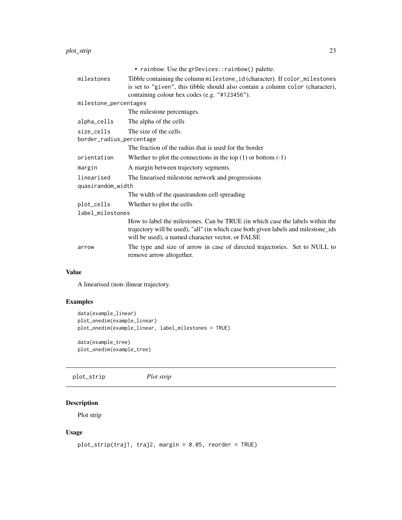<span id="page-22-0"></span>

|                                        | • rainbow: Use the grDevices::rainbow() palette.                                                                                                                                                                         |  |
|----------------------------------------|--------------------------------------------------------------------------------------------------------------------------------------------------------------------------------------------------------------------------|--|
| milestones                             | Tibble containing the column milestone_id (character). If color_milestones<br>is set to "given", this tibble should also contain a column color (character),<br>containing colour hex codes (e.g. "#123456").            |  |
| milestone_percentages                  |                                                                                                                                                                                                                          |  |
|                                        | The milestone percentages.                                                                                                                                                                                               |  |
| alpha_cells                            | The alpha of the cells                                                                                                                                                                                                   |  |
| size_cells<br>border_radius_percentage | The size of the cells                                                                                                                                                                                                    |  |
|                                        | The fraction of the radius that is used for the border                                                                                                                                                                   |  |
| orientation                            | Whether to plot the connections in the top $(1)$ or bottom $(-1)$                                                                                                                                                        |  |
| margin                                 | A margin between trajectory segments.                                                                                                                                                                                    |  |
| linearised                             | The linearised milestone network and progressions                                                                                                                                                                        |  |
| quasirandom_width                      |                                                                                                                                                                                                                          |  |
|                                        | The width of the quasirandom cell spreading                                                                                                                                                                              |  |
| plot_cells                             | Whether to plot the cells                                                                                                                                                                                                |  |
| label_milestones                       |                                                                                                                                                                                                                          |  |
|                                        | How to label the milestones. Can be TRUE (in which case the labels within the<br>trajectory will be used), "all" (in which case both given labels and milestone_ids<br>will be used), a named character vector, or FALSE |  |
| arrow                                  | The type and size of arrow in case of directed trajectories. Set to NULL to<br>remove arrow altogether.                                                                                                                  |  |
|                                        |                                                                                                                                                                                                                          |  |

A linearised (non-)linear trajectory.

#### Examples

```
data(example_linear)
plot_onedim(example_linear)
plot_onedim(example_linear, label_milestones = TRUE)
data(example_tree)
plot_onedim(example_tree)
```
plot\_strip *Plot strip*

# Description

Plot strip

```
plot_strip(traj1, traj2, margin = 0.05, reorder = TRUE)
```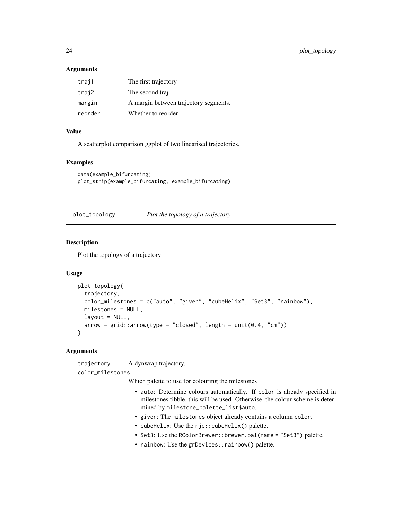<span id="page-23-0"></span>24 plot\_topology

#### **Arguments**

| traj1   | The first trajectory                  |
|---------|---------------------------------------|
| traj2   | The second traj                       |
| margin  | A margin between trajectory segments. |
| reorder | Whether to reorder                    |

#### Value

A scatterplot comparison ggplot of two linearised trajectories.

#### Examples

```
data(example_bifurcating)
plot_strip(example_bifurcating, example_bifurcating)
```
plot\_topology *Plot the topology of a trajectory*

# Description

Plot the topology of a trajectory

#### Usage

```
plot_topology(
  trajectory,
  color_milestones = c("auto", "given", "cubeHelix", "Set3", "rainbow"),
 milestones = NULL,
 layout = NULL,
 arrow = grid::arrow(type = "closed", length = unit(0.4, "cm")))
```
# Arguments

trajectory A dynwrap trajectory.

color\_milestones

Which palette to use for colouring the milestones

- auto: Determine colours automatically. If color is already specified in milestones tibble, this will be used. Otherwise, the colour scheme is determined by milestone\_palette\_list\$auto.
- given: The milestones object already contains a column color.
- cubeHelix: Use the rje:: cubeHelix() palette.
- Set3: Use the RColorBrewer::brewer.pal(name = "Set3") palette.
- rainbow: Use the grDevices::rainbow() palette.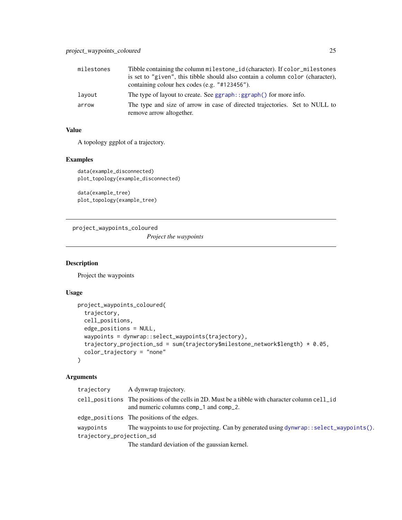<span id="page-24-0"></span>

| milestones | Tibble containing the column milestone_id (character). If color_milestones                                                      |
|------------|---------------------------------------------------------------------------------------------------------------------------------|
|            | is set to "given", this tibble should also contain a column color (character),<br>containing colour hex codes (e.g. "#123456"). |
| layout     | The type of layout to create. See ggraph::ggraph() for more info.                                                               |
| arrow      | The type and size of arrow in case of directed trajectories. Set to NULL to<br>remove arrow altogether.                         |

A topology ggplot of a trajectory.

#### Examples

```
data(example_disconnected)
plot_topology(example_disconnected)
```
data(example\_tree) plot\_topology(example\_tree)

project\_waypoints\_coloured

*Project the waypoints*

#### Description

Project the waypoints

# Usage

```
project_waypoints_coloured(
 trajectory,
 cell_positions,
 edge_positions = NULL,
 waypoints = dynwrap::select_waypoints(trajectory),
 trajectory_projection_sd = sum(trajectory$milestone_network$length) * 0.05,
 color_trajectory = "none"
)
```

| trajectory               | A dynwrap trajectory.                                                                                                                                         |
|--------------------------|---------------------------------------------------------------------------------------------------------------------------------------------------------------|
|                          | $cell_{\text{p}}$ cell _positions The positions of the cells in 2D. Must be a tibble with character column cell _id<br>and numeric columns comp_1 and comp_2. |
|                          | edge_positions The positions of the edges.                                                                                                                    |
| waypoints                | The waypoints to use for projecting. Can by generated using $d$ ynwrap::select_waypoints().                                                                   |
| trajectory_projection_sd |                                                                                                                                                               |
|                          | The standard deviation of the gaussian kernel.                                                                                                                |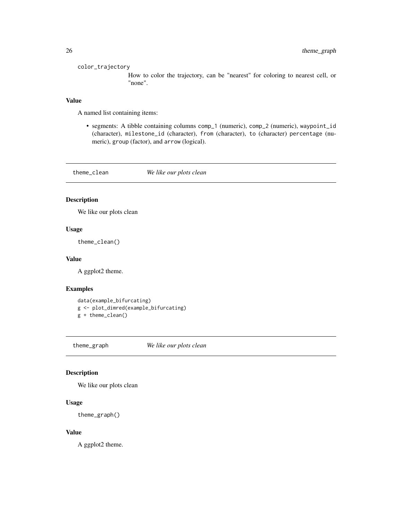#### <span id="page-25-0"></span>color\_trajectory

How to color the trajectory, can be "nearest" for coloring to nearest cell, or "none".

#### Value

A named list containing items:

• segments: A tibble containing columns comp\_1 (numeric), comp\_2 (numeric), waypoint\_id (character), milestone\_id (character), from (character), to (character) percentage (numeric), group (factor), and arrow (logical).

theme\_clean *We like our plots clean*

# Description

We like our plots clean

#### Usage

theme\_clean()

#### Value

A ggplot2 theme.

#### Examples

```
data(example_bifurcating)
g <- plot_dimred(example_bifurcating)
g + theme_clean()
```
theme\_graph *We like our plots clean*

#### Description

We like our plots clean

#### Usage

theme\_graph()

#### Value

A ggplot2 theme.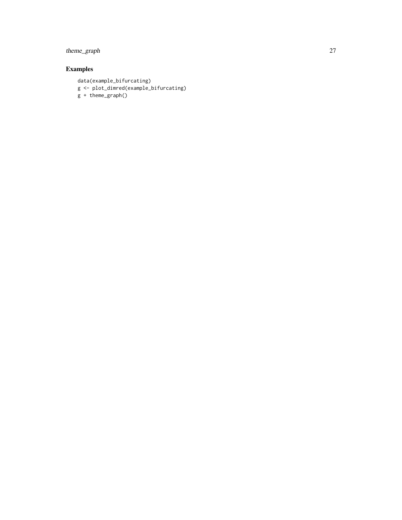# theme\_graph 27

# Examples

data(example\_bifurcating) g <- plot\_dimred(example\_bifurcating) g + theme\_graph()